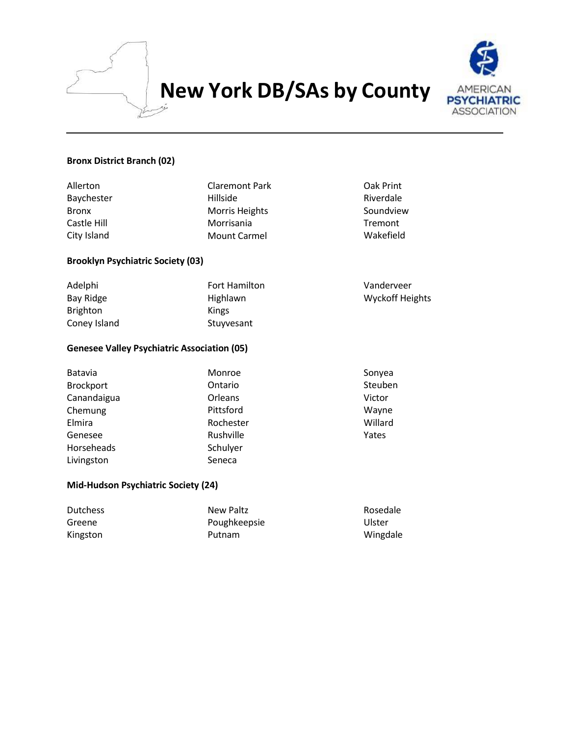

# **New York DB/SAs by County**



## **Bronx District Branch (02)**

| Allerton<br>Baychester<br><b>Bronx</b><br>Castle Hill<br>City Island | <b>Claremont Park</b><br>Hillside<br>Morris Heights<br>Morrisania<br><b>Mount Carmel</b> | Oak Print<br>Riverdale<br>Soundview<br>Tremont<br>Wakefield |  |
|----------------------------------------------------------------------|------------------------------------------------------------------------------------------|-------------------------------------------------------------|--|
| <b>Brooklyn Psychiatric Society (03)</b>                             |                                                                                          |                                                             |  |
| Adelphi                                                              | Fort Hamilton                                                                            | Vanderveer                                                  |  |
| <b>Bay Ridge</b>                                                     | Highlawn                                                                                 | <b>Wyckoff Heights</b>                                      |  |
| <b>Brighton</b>                                                      | Kings                                                                                    |                                                             |  |
| Coney Island                                                         | Stuyvesant                                                                               |                                                             |  |
| <b>Genesee Valley Psychiatric Association (05)</b>                   |                                                                                          |                                                             |  |
| Batavia                                                              | Monroe                                                                                   | Sonyea                                                      |  |
| <b>Brockport</b>                                                     | Ontario                                                                                  | Steuben                                                     |  |
| Canandaigua                                                          | Orleans                                                                                  | Victor                                                      |  |
| Chemung                                                              | Pittsford                                                                                | Wayne                                                       |  |
| Elmira                                                               | Rochester                                                                                | Willard                                                     |  |
| Genesee                                                              | Rushville                                                                                | Yates                                                       |  |
| Horseheads                                                           | Schulyer                                                                                 |                                                             |  |
| Livingston                                                           | Seneca                                                                                   |                                                             |  |
| Mid-Hudson Psychiatric Society (24)                                  |                                                                                          |                                                             |  |

| <b>Dutchess</b> | New Paltz    | Rosedale |
|-----------------|--------------|----------|
| Greene          | Poughkeepsie | Ulster   |
| Kingston        | Putnam       | Wingdale |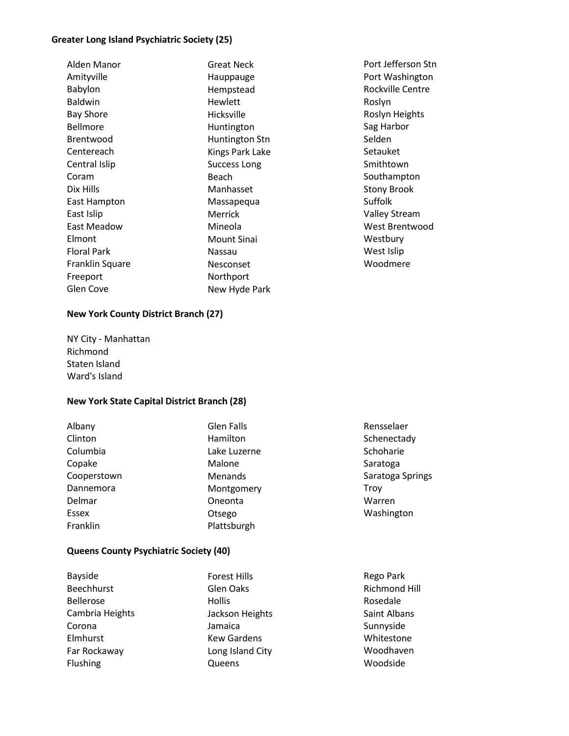#### **Greater Long Island Psychiatric Society (25)**

| Alden Manor        |
|--------------------|
| Amityville         |
| Babylon            |
| Baldwin            |
| Bay Shore          |
| Bellmore           |
| Brentwood          |
| Centereach         |
| Central Islip      |
| Coram              |
| Dix Hills          |
| East Hampton       |
| East Islip         |
| Fast Meadow        |
| Elmont             |
| <b>Floral Park</b> |
| Franklin Square    |
| Freeport           |
| <b>Glen Cove</b>   |
|                    |

Great Neck Hauppauge Hempstead Hewlett Hicksville Huntington Huntington Stn Kings Park Lake Success Long Beach Manhasset Massapequa Merrick Mineola Mount Sinai Nassau Nesconset Northport New Hyde Park

Port Jefferson Stn Port Washington Rockville Centre Roslyn Roslyn Heights Sag Harbor Selden Setauket Smithtown Southampton Stony Brook Suffolk Valley Stream West Brentwood **Westbury** West Islip Woodmere

#### **New York County District Branch (27)**

NY City - Manhattan Richmond Staten Island Ward's Island

#### **New York State Capital District Branch (28)**

| Albany      | Glen Falls   | Rensselaer       |
|-------------|--------------|------------------|
| Clinton     | Hamilton     | Schenectady      |
| Columbia    | Lake Luzerne | Schoharie        |
| Copake      | Malone       | Saratoga         |
| Cooperstown | Menands      | Saratoga Springs |
| Dannemora   | Montgomery   | Trov             |
| Delmar      | Oneonta      | Warren           |
| Essex       | Otsego       | Washington       |
| Franklin    | Plattsburgh  |                  |

#### **Queens County Psychiatric Society (40)**

| Bayside           | <b>Forest Hills</b> |
|-------------------|---------------------|
| <b>Beechhurst</b> | Glen Oaks           |
| <b>Bellerose</b>  | Hollis              |
| Cambria Heights   | Jackson Heights     |
| Corona            | Jamaica             |
| Elmhurst          | <b>Kew Gardens</b>  |
| Far Rockaway      | Long Island City    |
| Flushing          | Queens              |

Rego Park Richmond Hill Rosedale Saint Albans Sunnyside Whitestone Woodhaven Woodside